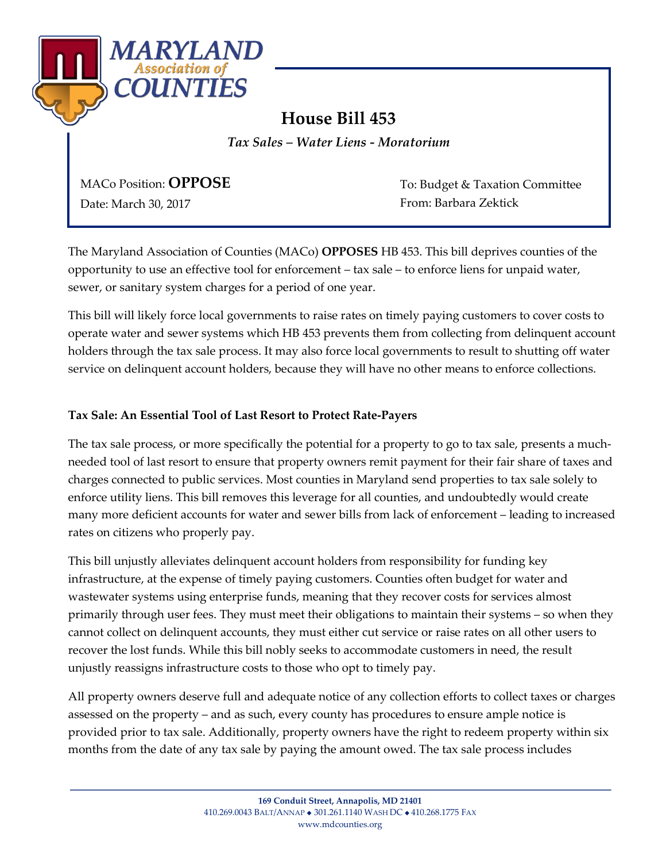

## **House Bill 453**

*Tax Sales – Water Liens - Moratorium*

MACo Position: **OPPOSE**

Date: March 30, 2017

To: Budget & Taxation Committee From: Barbara Zektick

The Maryland Association of Counties (MACo) **OPPOSES** HB 453. This bill deprives counties of the opportunity to use an effective tool for enforcement – tax sale – to enforce liens for unpaid water, sewer, or sanitary system charges for a period of one year.

This bill will likely force local governments to raise rates on timely paying customers to cover costs to operate water and sewer systems which HB 453 prevents them from collecting from delinquent account holders through the tax sale process. It may also force local governments to result to shutting off water service on delinquent account holders, because they will have no other means to enforce collections.

## **Tax Sale: An Essential Tool of Last Resort to Protect Rate-Payers**

The tax sale process, or more specifically the potential for a property to go to tax sale, presents a muchneeded tool of last resort to ensure that property owners remit payment for their fair share of taxes and charges connected to public services. Most counties in Maryland send properties to tax sale solely to enforce utility liens. This bill removes this leverage for all counties, and undoubtedly would create many more deficient accounts for water and sewer bills from lack of enforcement – leading to increased rates on citizens who properly pay.

This bill unjustly alleviates delinquent account holders from responsibility for funding key infrastructure, at the expense of timely paying customers. Counties often budget for water and wastewater systems using enterprise funds, meaning that they recover costs for services almost primarily through user fees. They must meet their obligations to maintain their systems – so when they cannot collect on delinquent accounts, they must either cut service or raise rates on all other users to recover the lost funds. While this bill nobly seeks to accommodate customers in need, the result unjustly reassigns infrastructure costs to those who opt to timely pay.

All property owners deserve full and adequate notice of any collection efforts to collect taxes or charges assessed on the property – and as such, every county has procedures to ensure ample notice is provided prior to tax sale. Additionally, property owners have the right to redeem property within six months from the date of any tax sale by paying the amount owed. The tax sale process includes